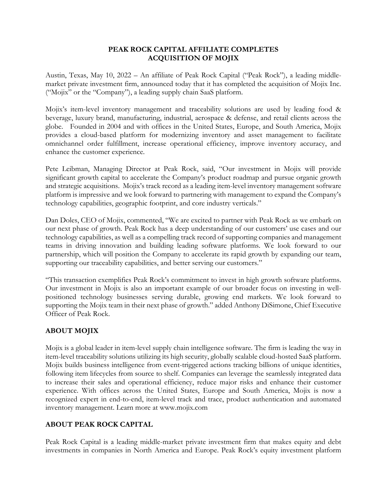## **PEAK ROCK CAPITAL AFFILIATE COMPLETES ACQUISITION OF MOJIX**

Austin, Texas, May 10, 2022 – An affiliate of Peak Rock Capital ("Peak Rock"), a leading middlemarket private investment firm, announced today that it has completed the acquisition of Mojix Inc. ("Mojix" or the "Company"), a leading supply chain SaaS platform.

Mojix's item-level inventory management and traceability solutions are used by leading food & beverage, luxury brand, manufacturing, industrial, aerospace & defense, and retail clients across the globe. Founded in 2004 and with offices in the United States, Europe, and South America, Mojix provides a cloud-based platform for modernizing inventory and asset management to facilitate omnichannel order fulfillment, increase operational efficiency, improve inventory accuracy, and enhance the customer experience.

Pete Leibman, Managing Director at Peak Rock, said, "Our investment in Mojix will provide significant growth capital to accelerate the Company's product roadmap and pursue organic growth and strategic acquisitions. Mojix's track record as a leading item-level inventory management software platform is impressive and we look forward to partnering with management to expand the Company's technology capabilities, geographic footprint, and core industry verticals."

Dan Doles, CEO of Mojix, commented, "We are excited to partner with Peak Rock as we embark on our next phase of growth. Peak Rock has a deep understanding of our customers' use cases and our technology capabilities, as well as a compelling track record of supporting companies and management teams in driving innovation and building leading software platforms. We look forward to our partnership, which will position the Company to accelerate its rapid growth by expanding our team, supporting our traceability capabilities, and better serving our customers."

"This transaction exemplifies Peak Rock's commitment to invest in high growth software platforms. Our investment in Mojix is also an important example of our broader focus on investing in wellpositioned technology businesses serving durable, growing end markets. We look forward to supporting the Mojix team in their next phase of growth." added Anthony DiSimone, Chief Executive Officer of Peak Rock.

## **ABOUT MOJIX**

Mojix is a global leader in item-level supply chain intelligence software. The firm is leading the way in item-level traceability solutions utilizing its high security, globally scalable cloud-hosted SaaS platform. Mojix builds business intelligence from event-triggered actions tracking billions of unique identities, following item lifecycles from source to shelf. Companies can leverage the seamlessly integrated data to increase their sales and operational efficiency, reduce major risks and enhance their customer experience. With offices across the United States, Europe and South America, Mojix is now a recognized expert in end-to-end, item-level track and trace, product authentication and automated inventory management. Learn more at www.mojix.com

## **ABOUT PEAK ROCK CAPITAL**

Peak Rock Capital is a leading middle-market private investment firm that makes equity and debt investments in companies in North America and Europe. Peak Rock's equity investment platform